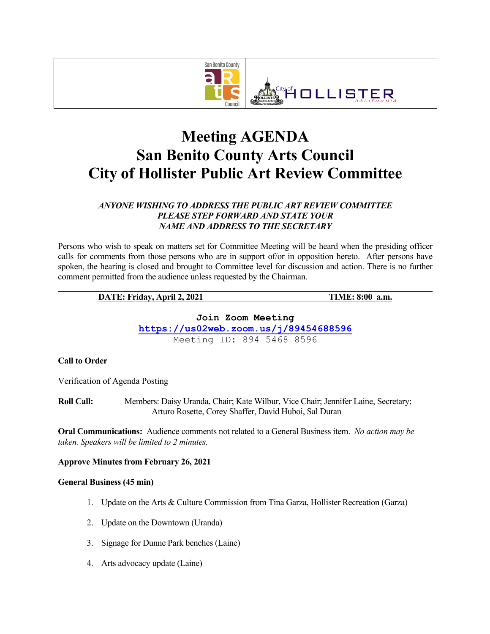

# **Meeting AGENDA San Benito County Arts Council City of Hollister Public Art Review Committee**

## *ANYONE WISHING TO ADDRESS THE PUBLIC ART REVIEW COMMITTEE PLEASE STEP FORWARD AND STATE YOUR NAME AND ADDRESS TO THE SECRETARY*

Persons who wish to speak on matters set for Committee Meeting will be heard when the presiding officer calls for comments from those persons who are in support of/or in opposition hereto. After persons have spoken, the hearing is closed and brought to Committee level for discussion and action. There is no further comment permitted from the audience unless requested by the Chairman.

#### **DATE: Friday, April 2, 2021 TIME: 8:00 a.m.**

**Join Zoom Meeting**

**https://us02web.zoom.us/j/89454688596** Meeting ID: 894 5468 8596

# **Call to Order**

Verification of Agenda Posting

**Roll Call:** Members: Daisy Uranda, Chair; Kate Wilbur, Vice Chair; Jennifer Laine, Secretary; Arturo Rosette, Corey Shaffer, David Huboi, Sal Duran

**Oral Communications:** Audience comments not related to a General Business item. *No action may be taken. Speakers will be limited to 2 minutes.*

#### **Approve Minutes from February 26, 2021**

#### **General Business (45 min)**

- 1. Update on the Arts & Culture Commission from Tina Garza, Hollister Recreation (Garza)
- 2. Update on the Downtown (Uranda)
- 3. Signage for Dunne Park benches (Laine)
- 4. Arts advocacy update (Laine)